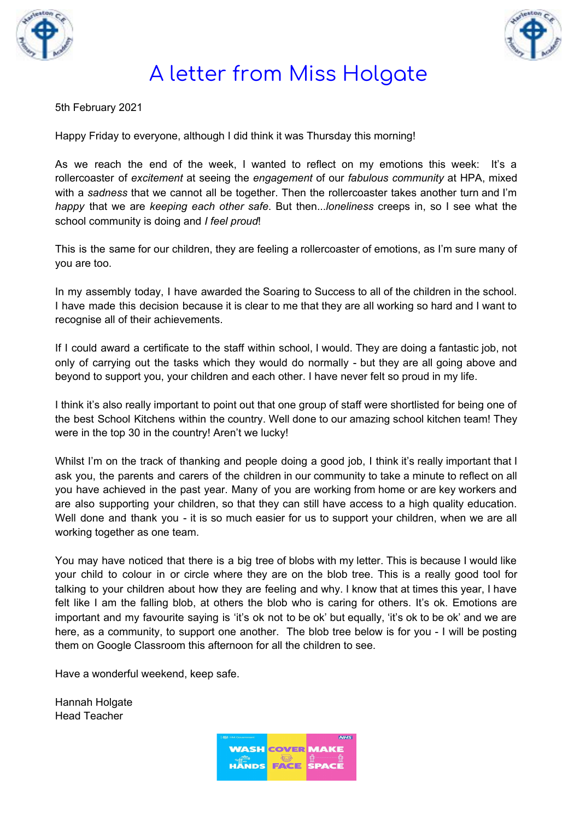



## A letter from Miss Holgate

5th February 2021

Happy Friday to everyone, although I did think it was Thursday this morning!

As we reach the end of the week, I wanted to reflect on my emotions this week: It's a rollercoaster of *excitement* at seeing the *engagement* of our *fabulous community* at HPA, mixed with a *sadness* that we cannot all be together. Then the rollercoaster takes another turn and I'm *happy* that we are *keeping each other safe*. But then...*loneliness* creeps in, so I see what the school community is doing and *I feel proud*!

This is the same for our children, they are feeling a rollercoaster of emotions, as I'm sure many of you are too.

In my assembly today, I have awarded the Soaring to Success to all of the children in the school. I have made this decision because it is clear to me that they are all working so hard and I want to recognise all of their achievements.

If I could award a certificate to the staff within school, I would. They are doing a fantastic job, not only of carrying out the tasks which they would do normally - but they are all going above and beyond to support you, your children and each other. I have never felt so proud in my life.

I think it's also really important to point out that one group of staff were shortlisted for being one of the best School Kitchens within the country. Well done to our amazing school kitchen team! They were in the top 30 in the country! Aren't we lucky!

Whilst I'm on the track of thanking and people doing a good job, I think it's really important that I ask you, the parents and carers of the children in our community to take a minute to reflect on all you have achieved in the past year. Many of you are working from home or are key workers and are also supporting your children, so that they can still have access to a high quality education. Well done and thank you - it is so much easier for us to support your children, when we are all working together as one team.

You may have noticed that there is a big tree of blobs with my letter. This is because I would like your child to colour in or circle where they are on the blob tree. This is a really good tool for talking to your children about how they are feeling and why. I know that at times this year, I have felt like I am the falling blob, at others the blob who is caring for others. It's ok. Emotions are important and my favourite saying is 'it's ok not to be ok' but equally, 'it's ok to be ok' and we are here, as a community, to support one another. The blob tree below is for you - I will be posting them on Google Classroom this afternoon for all the children to see.

Have a wonderful weekend, keep safe.

Hannah Holgate Head Teacher